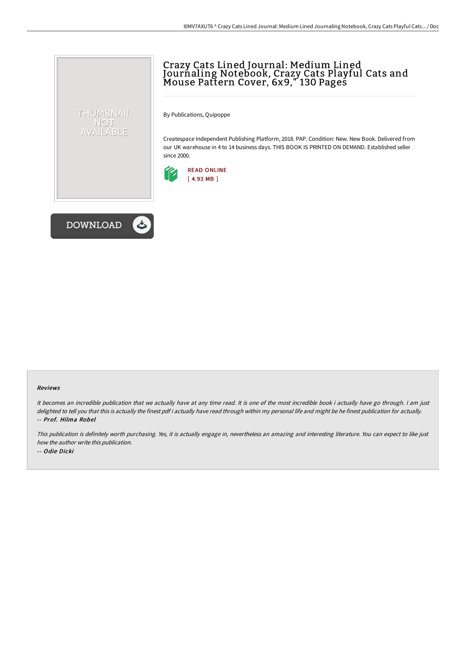## Crazy Cats Lined Journal: Medium Lined Jourńaling Notebook, Crazy Cats Playful Cats and Mouse Pattern Cover, 6x9," 130 Pages

By Publications, Quipoppe

Createspace Independent Publishing Platform, 2018. PAP. Condition: New. New Book. Delivered from our UK warehouse in 4 to 14 business days. THIS BOOK IS PRINTED ON DEMAND. Established seller since 2000.





THUMBNAIL NOT AVAILABLE

## Reviews

It becomes an incredible publication that we actually have at any time read. It is one of the most incredible book i actually have go through. <sup>I</sup> am just delighted to tell you that this is actually the finest pdf i actually have read through within my personal life and might be he finest publication for actually. -- Prof. Hilma Robel

This publication is definitely worth purchasing. Yes, it is actually engage in, nevertheless an amazing and interesting literature. You can expect to like just how the author write this publication. -- Odie Dicki